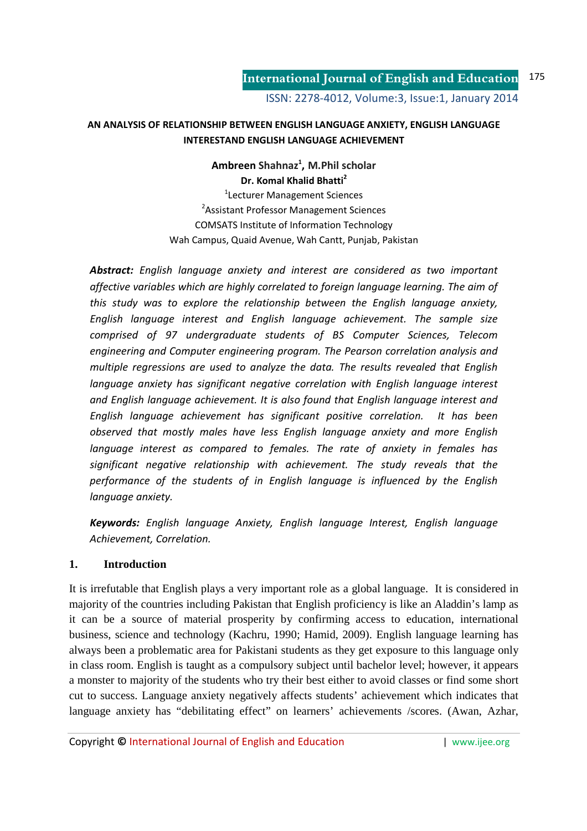#### **AN ANALYSIS OF RELATIONSHIP BETWEEN ENGLISH LANGUAGE ANXIETY, ENGLISH LANGUAGE INTERESTAND ENGLISH LANGUAGE ACHIEVEMENT**

**Ambreen Shahnaz<sup>1</sup> , M.Phil scholar Dr. Komal Khalid Bhatti<sup>2</sup>**

1 Lecturer Management Sciences <sup>2</sup> Assistant Professor Management Sciences COMSATS Institute of Information Technology Wah Campus, Quaid Avenue, Wah Cantt, Punjab, Pakistan

*Abstract: English language anxiety and interest are considered as two important affective variables which are highly correlated to foreign language learning. The aim of this study was to explore the relationship between the English language anxiety, English language interest and English language achievement. The sample size comprised of 97 undergraduate students of BS Computer Sciences, Telecom engineering and Computer engineering program. The Pearson correlation analysis and multiple regressions are used to analyze the data. The results revealed that English language anxiety has significant negative correlation with English language interest and English language achievement. It is also found that English language interest and English language achievement has significant positive correlation. It has been observed that mostly males have less English language anxiety and more English language interest as compared to females. The rate of anxiety in females has significant negative relationship with achievement. The study reveals that the performance of the students of in English language is influenced by the English language anxiety.* 

*Keywords: English language Anxiety, English language Interest, English language Achievement, Correlation.* 

#### **1. Introduction**

It is irrefutable that English plays a very important role as a global language. It is considered in majority of the countries including Pakistan that English proficiency is like an Aladdin's lamp as it can be a source of material prosperity by confirming access to education, international business, science and technology (Kachru, 1990; Hamid, 2009). English language learning has always been a problematic area for Pakistani students as they get exposure to this language only in class room. English is taught as a compulsory subject until bachelor level; however, it appears a monster to majority of the students who try their best either to avoid classes or find some short cut to success. Language anxiety negatively affects students' achievement which indicates that language anxiety has "debilitating effect" on learners' achievements /scores. (Awan, Azhar,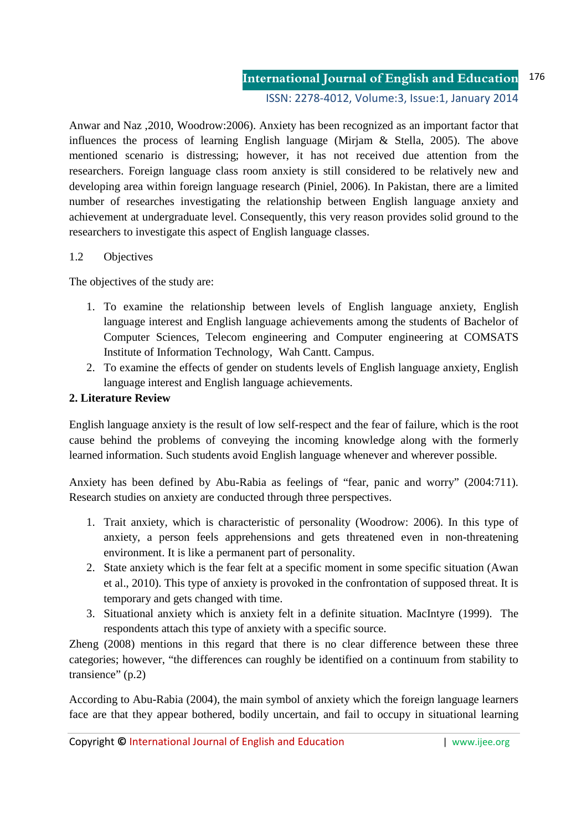ISSN: 2278-4012, Volume:3, Issue:1, January 2014

Anwar and Naz ,2010, Woodrow:2006). Anxiety has been recognized as an important factor that influences the process of learning English language (Mirjam & Stella, 2005). The above mentioned scenario is distressing; however, it has not received due attention from the researchers. Foreign language class room anxiety is still considered to be relatively new and developing area within foreign language research (Piniel, 2006). In Pakistan, there are a limited number of researches investigating the relationship between English language anxiety and achievement at undergraduate level. Consequently, this very reason provides solid ground to the researchers to investigate this aspect of English language classes.

#### 1.2 Objectives

The objectives of the study are:

- 1. To examine the relationship between levels of English language anxiety, English language interest and English language achievements among the students of Bachelor of Computer Sciences, Telecom engineering and Computer engineering at COMSATS Institute of Information Technology, Wah Cantt. Campus.
- 2. To examine the effects of gender on students levels of English language anxiety, English language interest and English language achievements.

#### **2. Literature Review**

English language anxiety is the result of low self-respect and the fear of failure, which is the root cause behind the problems of conveying the incoming knowledge along with the formerly learned information. Such students avoid English language whenever and wherever possible.

Anxiety has been defined by Abu-Rabia as feelings of "fear, panic and worry" (2004:711). Research studies on anxiety are conducted through three perspectives.

- 1. Trait anxiety, which is characteristic of personality (Woodrow: 2006). In this type of anxiety, a person feels apprehensions and gets threatened even in non-threatening environment. It is like a permanent part of personality.
- 2. State anxiety which is the fear felt at a specific moment in some specific situation (Awan et al., 2010). This type of anxiety is provoked in the confrontation of supposed threat. It is temporary and gets changed with time.
- 3. Situational anxiety which is anxiety felt in a definite situation. MacIntyre (1999). The respondents attach this type of anxiety with a specific source.

Zheng (2008) mentions in this regard that there is no clear difference between these three categories; however, "the differences can roughly be identified on a continuum from stability to transience" (p.2)

According to Abu-Rabia (2004), the main symbol of anxiety which the foreign language learners face are that they appear bothered, bodily uncertain, and fail to occupy in situational learning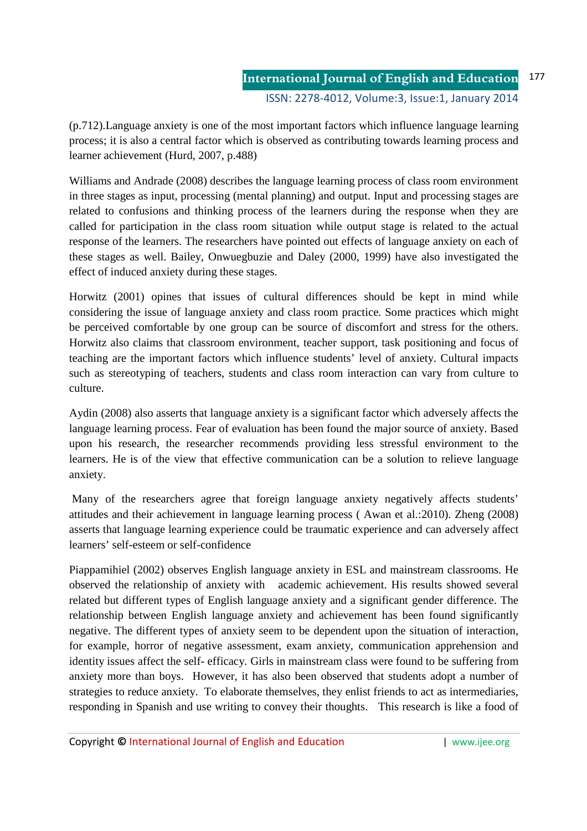(p.712).Language anxiety is one of the most important factors which influence language learning process; it is also a central factor which is observed as contributing towards learning process and learner achievement (Hurd, 2007, p.488)

Williams and Andrade (2008) describes the language learning process of class room environment in three stages as input, processing (mental planning) and output. Input and processing stages are related to confusions and thinking process of the learners during the response when they are called for participation in the class room situation while output stage is related to the actual response of the learners. The researchers have pointed out effects of language anxiety on each of these stages as well. Bailey, Onwuegbuzie and Daley (2000, 1999) have also investigated the effect of induced anxiety during these stages.

Horwitz (2001) opines that issues of cultural differences should be kept in mind while considering the issue of language anxiety and class room practice. Some practices which might be perceived comfortable by one group can be source of discomfort and stress for the others. Horwitz also claims that classroom environment, teacher support, task positioning and focus of teaching are the important factors which influence students' level of anxiety. Cultural impacts such as stereotyping of teachers, students and class room interaction can vary from culture to culture.

Aydin (2008) also asserts that language anxiety is a significant factor which adversely affects the language learning process. Fear of evaluation has been found the major source of anxiety. Based upon his research, the researcher recommends providing less stressful environment to the learners. He is of the view that effective communication can be a solution to relieve language anxiety.

 Many of the researchers agree that foreign language anxiety negatively affects students' attitudes and their achievement in language learning process ( Awan et al.:2010). Zheng (2008) asserts that language learning experience could be traumatic experience and can adversely affect learners' self-esteem or self-confidence

Piappamihiel (2002) observes English language anxiety in ESL and mainstream classrooms. He observed the relationship of anxiety with academic achievement. His results showed several related but different types of English language anxiety and a significant gender difference. The relationship between English language anxiety and achievement has been found significantly negative. The different types of anxiety seem to be dependent upon the situation of interaction, for example, horror of negative assessment, exam anxiety, communication apprehension and identity issues affect the self- efficacy. Girls in mainstream class were found to be suffering from anxiety more than boys. However, it has also been observed that students adopt a number of strategies to reduce anxiety. To elaborate themselves, they enlist friends to act as intermediaries, responding in Spanish and use writing to convey their thoughts. This research is like a food of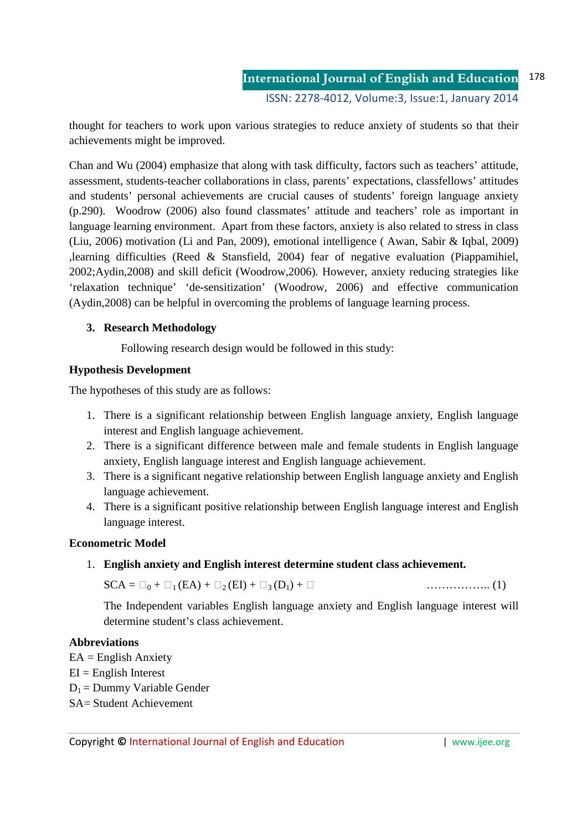thought for teachers to work upon various strategies to reduce anxiety of students so that their achievements might be improved.

Chan and Wu (2004) emphasize that along with task difficulty, factors such as teachers' attitude, assessment, students-teacher collaborations in class, parents' expectations, classfellows' attitudes and students' personal achievements are crucial causes of students' foreign language anxiety (p.290). Woodrow (2006) also found classmates' attitude and teachers' role as important in language learning environment. Apart from these factors, anxiety is also related to stress in class (Liu, 2006) motivation (Li and Pan, 2009), emotional intelligence ( Awan, Sabir & Iqbal, 2009) ,learning difficulties (Reed & Stansfield, 2004) fear of negative evaluation (Piappamihiel, 2002;Aydin,2008) and skill deficit (Woodrow,2006). However, anxiety reducing strategies like 'relaxation technique' 'de-sensitization' (Woodrow, 2006) and effective communication (Aydin,2008) can be helpful in overcoming the problems of language learning process.

### **3. Research Methodology**

Following research design would be followed in this study:

### **Hypothesis Development**

The hypotheses of this study are as follows:

- 1. There is a significant relationship between English language anxiety, English language interest and English language achievement.
- 2. There is a significant difference between male and female students in English language anxiety, English language interest and English language achievement.
- 3. There is a significant negative relationship between English language anxiety and English language achievement.
- 4. There is a significant positive relationship between English language interest and English language interest.

## **Econometric Model**

1. **English anxiety and English interest determine student class achievement.**

 $SCA = 0 + 1 (EA) + 2 (EI) + 3 (D<sub>1</sub>) + \dots (1)$ 

The Independent variables English language anxiety and English language interest will determine student's class achievement.

## **Abbreviations**

 $EA =$  English Anxiety  $EI =$  English Interest  $D_1$  = Dummy Variable Gender SA= Student Achievement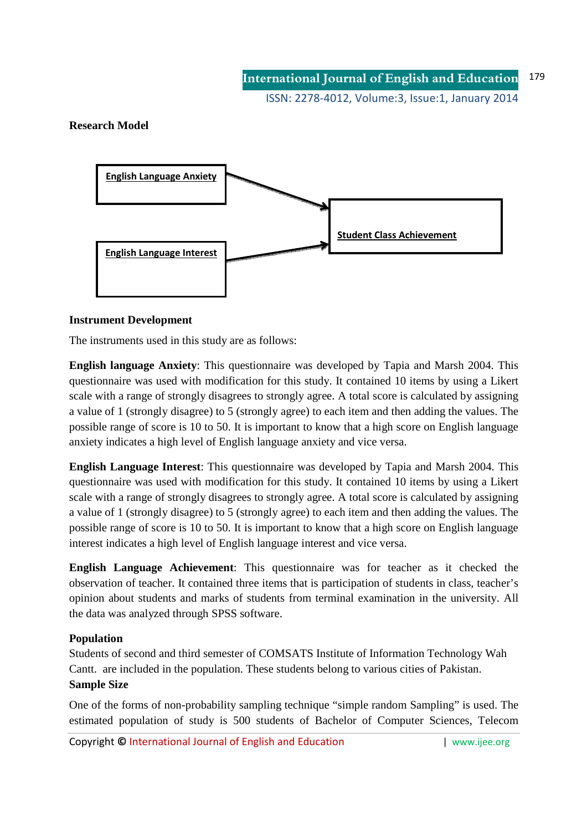ISSN: 2278-4012, Volume:3, Issue:1, January 2014

### **Research Model**



#### **Instrument Development**

The instruments used in this study are as follows:

**English language Anxiety**: This questionnaire was developed by Tapia and Marsh 2004. This questionnaire was used with modification for this study. It contained 10 items by using a Likert scale with a range of strongly disagrees to strongly agree. A total score is calculated by assigning a value of 1 (strongly disagree) to 5 (strongly agree) to each item and then adding the values. The possible range of score is 10 to 50. It is important to know that a high score on English language anxiety indicates a high level of English language anxiety and vice versa.

**English Language Interest**: This questionnaire was developed by Tapia and Marsh 2004. This questionnaire was used with modification for this study. It contained 10 items by using a Likert scale with a range of strongly disagrees to strongly agree. A total score is calculated by assigning a value of 1 (strongly disagree) to 5 (strongly agree) to each item and then adding the values. The possible range of score is 10 to 50. It is important to know that a high score on English language interest indicates a high level of English language interest and vice versa.

**English Language Achievement**: This questionnaire was for teacher as it checked the observation of teacher. It contained three items that is participation of students in class, teacher's opinion about students and marks of students from terminal examination in the university. All the data was analyzed through SPSS software.

#### **Population**

Students of second and third semester of COMSATS Institute of Information Technology Wah Cantt. are included in the population. These students belong to various cities of Pakistan. **Sample Size** 

One of the forms of non-probability sampling technique "simple random Sampling" is used. The estimated population of study is 500 students of Bachelor of Computer Sciences, Telecom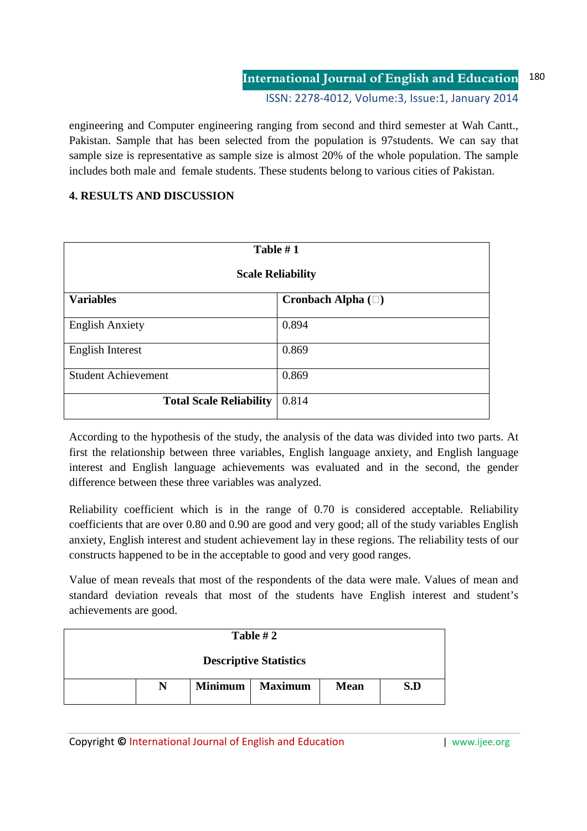engineering and Computer engineering ranging from second and third semester at Wah Cantt., Pakistan. Sample that has been selected from the population is 97students. We can say that sample size is representative as sample size is almost 20% of the whole population. The sample includes both male and female students. These students belong to various cities of Pakistan.

# **4. RESULTS AND DISCUSSION**

| Table #1<br><b>Scale Reliability</b> |                   |  |
|--------------------------------------|-------------------|--|
| <b>Variables</b>                     | Cronbach Alpha () |  |
| <b>English Anxiety</b>               | 0.894             |  |
| <b>English Interest</b>              | 0.869             |  |
| <b>Student Achievement</b>           | 0.869             |  |
| <b>Total Scale Reliability</b>       | 0.814             |  |

According to the hypothesis of the study, the analysis of the data was divided into two parts. At first the relationship between three variables, English language anxiety, and English language interest and English language achievements was evaluated and in the second, the gender difference between these three variables was analyzed.

Reliability coefficient which is in the range of 0.70 is considered acceptable. Reliability coefficients that are over 0.80 and 0.90 are good and very good; all of the study variables English anxiety, English interest and student achievement lay in these regions. The reliability tests of our constructs happened to be in the acceptable to good and very good ranges.

Value of mean reveals that most of the respondents of the data were male. Values of mean and standard deviation reveals that most of the students have English interest and student's achievements are good.

| Table $#2$                    |   |                |                |             |     |
|-------------------------------|---|----------------|----------------|-------------|-----|
| <b>Descriptive Statistics</b> |   |                |                |             |     |
|                               | N | <b>Minimum</b> | <b>Maximum</b> | <b>Mean</b> | S.D |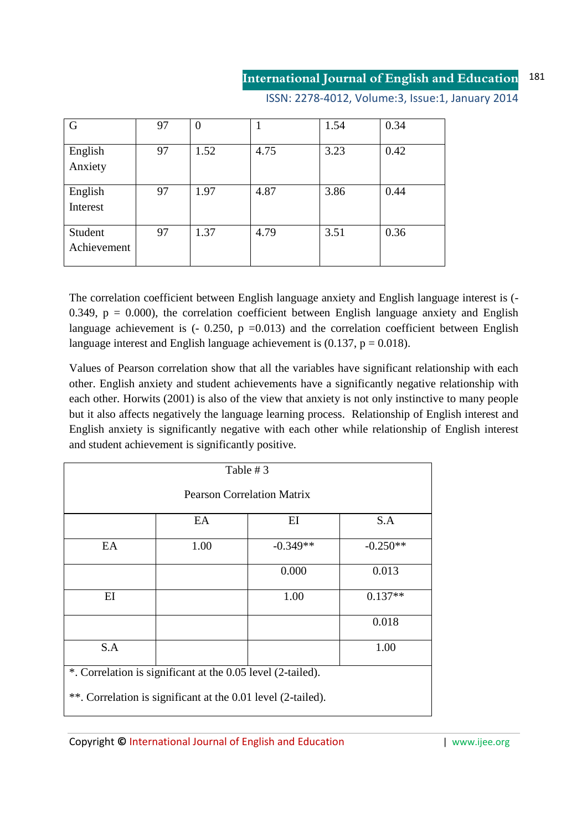ISSN: 2278-4012, Volume:3, Issue:1, January 2014

| G                      | 97 | $\overline{0}$ | 1    | 1.54 | 0.34 |
|------------------------|----|----------------|------|------|------|
| English<br>Anxiety     | 97 | 1.52           | 4.75 | 3.23 | 0.42 |
| English<br>Interest    | 97 | 1.97           | 4.87 | 3.86 | 0.44 |
| Student<br>Achievement | 97 | 1.37           | 4.79 | 3.51 | 0.36 |

The correlation coefficient between English language anxiety and English language interest is (- 0.349,  $p = 0.000$ , the correlation coefficient between English language anxiety and English language achievement is  $(-0.250, p = 0.013)$  and the correlation coefficient between English language interest and English language achievement is  $(0.137, p = 0.018)$ .

Values of Pearson correlation show that all the variables have significant relationship with each other. English anxiety and student achievements have a significantly negative relationship with each other. Horwits (2001) is also of the view that anxiety is not only instinctive to many people but it also affects negatively the language learning process. Relationship of English interest and English anxiety is significantly negative with each other while relationship of English interest and student achievement is significantly positive.

| Table #3                                                     |      |            |            |  |
|--------------------------------------------------------------|------|------------|------------|--|
| <b>Pearson Correlation Matrix</b>                            |      |            |            |  |
|                                                              | EA   | EI         | S.A        |  |
| EA                                                           | 1.00 | $-0.349**$ | $-0.250**$ |  |
|                                                              |      | 0.000      | 0.013      |  |
| EI                                                           |      | 1.00       | $0.137**$  |  |
|                                                              |      |            | 0.018      |  |
| S.A                                                          |      |            | 1.00       |  |
| *. Correlation is significant at the 0.05 level (2-tailed).  |      |            |            |  |
| **. Correlation is significant at the 0.01 level (2-tailed). |      |            |            |  |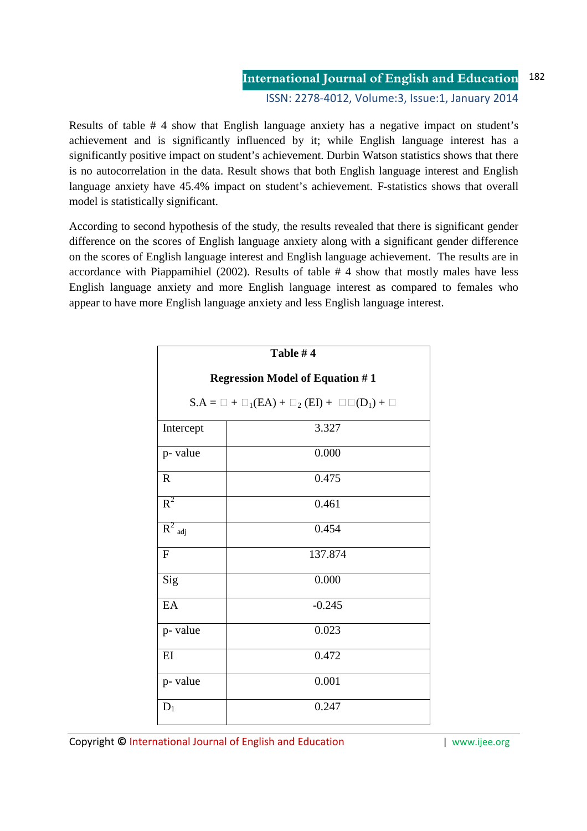#### **International Journal of English and Education** ISSN: 2278-4012, Volume:3, Issue:1, January 2014 182

Results of table # 4 show that English language anxiety has a negative impact on student's achievement and is significantly influenced by it; while English language interest has a significantly positive impact on student's achievement. Durbin Watson statistics shows that there is no autocorrelation in the data. Result shows that both English language interest and English language anxiety have 45.4% impact on student's achievement. F-statistics shows that overall model is statistically significant.

According to second hypothesis of the study, the results revealed that there is significant gender difference on the scores of English language anxiety along with a significant gender difference on the scores of English language interest and English language achievement. The results are in accordance with Piappamihiel (2002). Results of table # 4 show that mostly males have less English language anxiety and more English language interest as compared to females who appear to have more English language anxiety and less English language interest.

|                                        | Table #4                        |  |
|----------------------------------------|---------------------------------|--|
| <b>Regression Model of Equation #1</b> |                                 |  |
|                                        | $S.A = + (EA) + 2(EI) + (D1) +$ |  |
| Intercept                              | 3.327                           |  |
| p- value                               | 0.000                           |  |
| $\overline{R}$                         | 0.475                           |  |
| $R^2$                                  | 0.461                           |  |
| $\overline{R^2_{\;\; adj}}$            | 0.454                           |  |
| $\mathbf F$                            | 137.874                         |  |
| Sig                                    | 0.000                           |  |
| EA                                     | $-0.245$                        |  |
| p- value                               | 0.023                           |  |
| EI                                     | 0.472                           |  |
| p- value                               | 0.001                           |  |
| $D_1$                                  | 0.247                           |  |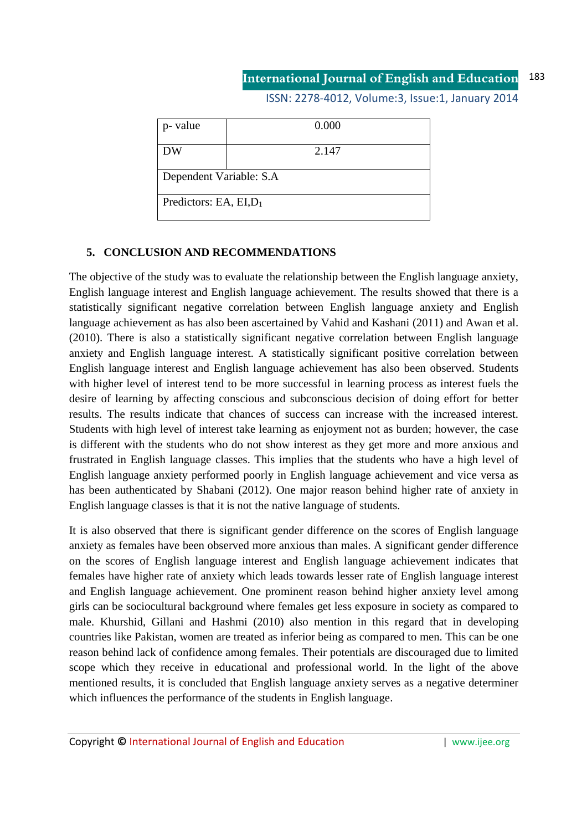ISSN: 2278-4012, Volume:3, Issue:1, January 2014

| p- value                  | 0.000 |
|---------------------------|-------|
| <b>DW</b>                 | 2.147 |
| Dependent Variable: S.A   |       |
| Predictors: EA, $EI, D_1$ |       |

#### **5. CONCLUSION AND RECOMMENDATIONS**

The objective of the study was to evaluate the relationship between the English language anxiety, English language interest and English language achievement. The results showed that there is a statistically significant negative correlation between English language anxiety and English language achievement as has also been ascertained by Vahid and Kashani (2011) and Awan et al. (2010). There is also a statistically significant negative correlation between English language anxiety and English language interest. A statistically significant positive correlation between English language interest and English language achievement has also been observed. Students with higher level of interest tend to be more successful in learning process as interest fuels the desire of learning by affecting conscious and subconscious decision of doing effort for better results. The results indicate that chances of success can increase with the increased interest. Students with high level of interest take learning as enjoyment not as burden; however, the case is different with the students who do not show interest as they get more and more anxious and frustrated in English language classes. This implies that the students who have a high level of English language anxiety performed poorly in English language achievement and vice versa as has been authenticated by Shabani (2012). One major reason behind higher rate of anxiety in English language classes is that it is not the native language of students.

It is also observed that there is significant gender difference on the scores of English language anxiety as females have been observed more anxious than males. A significant gender difference on the scores of English language interest and English language achievement indicates that females have higher rate of anxiety which leads towards lesser rate of English language interest and English language achievement. One prominent reason behind higher anxiety level among girls can be sociocultural background where females get less exposure in society as compared to male. Khurshid, Gillani and Hashmi (2010) also mention in this regard that in developing countries like Pakistan, women are treated as inferior being as compared to men. This can be one reason behind lack of confidence among females. Their potentials are discouraged due to limited scope which they receive in educational and professional world. In the light of the above mentioned results, it is concluded that English language anxiety serves as a negative determiner which influences the performance of the students in English language.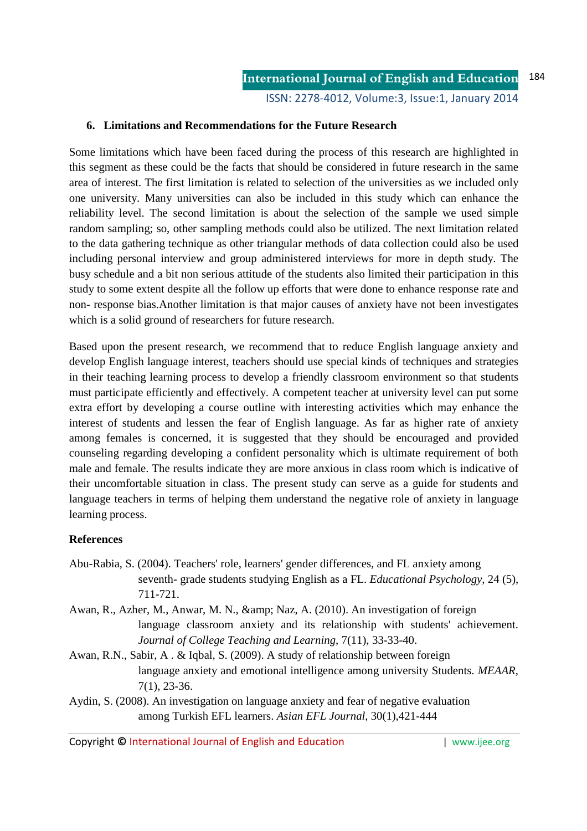ISSN: 2278-4012, Volume:3, Issue:1, January 2014

#### **6. Limitations and Recommendations for the Future Research**

Some limitations which have been faced during the process of this research are highlighted in this segment as these could be the facts that should be considered in future research in the same area of interest. The first limitation is related to selection of the universities as we included only one university. Many universities can also be included in this study which can enhance the reliability level. The second limitation is about the selection of the sample we used simple random sampling; so, other sampling methods could also be utilized. The next limitation related to the data gathering technique as other triangular methods of data collection could also be used including personal interview and group administered interviews for more in depth study. The busy schedule and a bit non serious attitude of the students also limited their participation in this study to some extent despite all the follow up efforts that were done to enhance response rate and non- response bias.Another limitation is that major causes of anxiety have not been investigates which is a solid ground of researchers for future research.

Based upon the present research, we recommend that to reduce English language anxiety and develop English language interest, teachers should use special kinds of techniques and strategies in their teaching learning process to develop a friendly classroom environment so that students must participate efficiently and effectively. A competent teacher at university level can put some extra effort by developing a course outline with interesting activities which may enhance the interest of students and lessen the fear of English language. As far as higher rate of anxiety among females is concerned, it is suggested that they should be encouraged and provided counseling regarding developing a confident personality which is ultimate requirement of both male and female. The results indicate they are more anxious in class room which is indicative of their uncomfortable situation in class. The present study can serve as a guide for students and language teachers in terms of helping them understand the negative role of anxiety in language learning process.

#### **References**

- Abu-Rabia, S. (2004). Teachers' role, learners' gender differences, and FL anxiety among seventh- grade students studying English as a FL. *Educational Psychology*, 24 (5), 711-721.
- Awan, R., Azher, M., Anwar, M. N., & amp; Naz, A. (2010). An investigation of foreign language classroom anxiety and its relationship with students' achievement. *Journal of College Teaching and Learning*, 7(11), 33-33-40.
- Awan, R.N., Sabir, A . & Iqbal, S. (2009). A study of relationship between foreign language anxiety and emotional intelligence among university Students. *MEAAR*, 7(1), 23-36.
- Aydin, S. (2008). An investigation on language anxiety and fear of negative evaluation among Turkish EFL learners. *Asian EFL Journal*, 30(1),421-444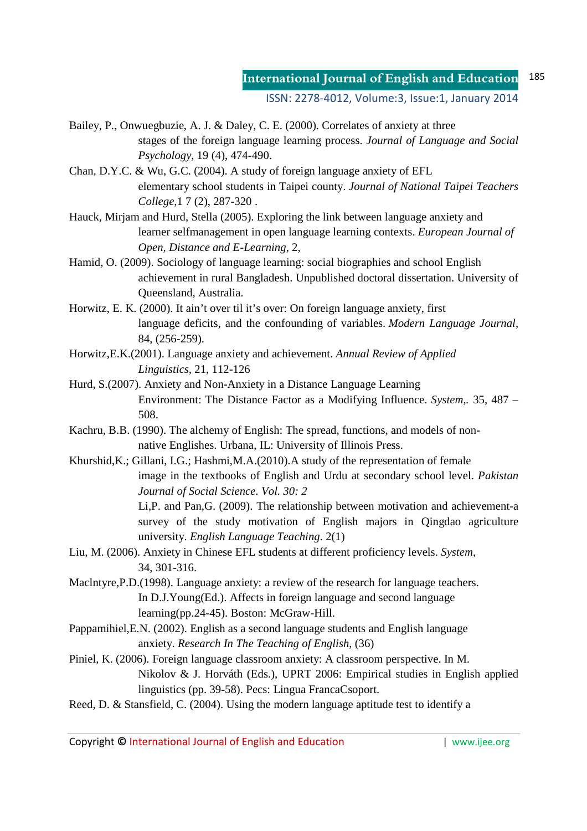ISSN: 2278-4012, Volume:3, Issue:1, January 2014

- Bailey, P., Onwuegbuzie, A. J. & Daley, C. E. (2000). Correlates of anxiety at three stages of the foreign language learning process. *Journal of Language and Social Psychology,* 19 (4), 474-490.
- Chan, D.Y.C. & Wu, G.C. (2004). A study of foreign language anxiety of EFL elementary school students in Taipei county. *Journal of National Taipei Teachers College,*1 7 (2), 287-320 .
- Hauck, Mirjam and Hurd, Stella (2005). Exploring the link between language anxiety and learner selfmanagement in open language learning contexts. *European Journal of Open, Distance and E-Learning*, 2,
- Hamid, O. (2009). Sociology of language learning: social biographies and school English achievement in rural Bangladesh. Unpublished doctoral dissertation. University of Queensland, Australia.
- Horwitz, E. K. (2000). It ain't over til it's over: On foreign language anxiety, first language deficits, and the confounding of variables. *Modern Language Journal*, 84, (256-259).
- Horwitz,E.K.(2001). Language anxiety and achievement. *Annual Review of Applied Linguistics,* 21, 112-126
- Hurd, S.(2007). Anxiety and Non-Anxiety in a Distance Language Learning Environment: The Distance Factor as a Modifying Influence. *System,.* 35, 487 – 508.
- Kachru, B.B. (1990). The alchemy of English: The spread, functions, and models of nonnative Englishes. Urbana, IL: University of Illinois Press.
- Khurshid,K.; Gillani, I.G.; Hashmi,M.A.(2010).A study of the representation of female image in the textbooks of English and Urdu at secondary school level. *Pakistan Journal of Social Science. Vol. 30: 2*

Li,P. and Pan,G. (2009). The relationship between motivation and achievement-a survey of the study motivation of English majors in Qingdao agriculture university. *English Language Teaching*. 2(1)

Liu, M. (2006). Anxiety in Chinese EFL students at different proficiency levels. *System*, 34, 301-316.

Maclntyre,P.D.(1998). Language anxiety: a review of the research for language teachers. In D.J.Young(Ed.). Affects in foreign language and second language learning(pp.24-45). Boston: McGraw-Hill.

- Pappamihiel,E.N. (2002). English as a second language students and English language anxiety. *Research In The Teaching of English*, (36)
- Piniel, K. (2006). Foreign language classroom anxiety: A classroom perspective. In M. Nikolov & J. Horváth (Eds.), UPRT 2006: Empirical studies in English applied linguistics (pp. 39-58). Pecs: Lingua FrancaCsoport.
- Reed, D. & Stansfield, C. (2004). Using the modern language aptitude test to identify a